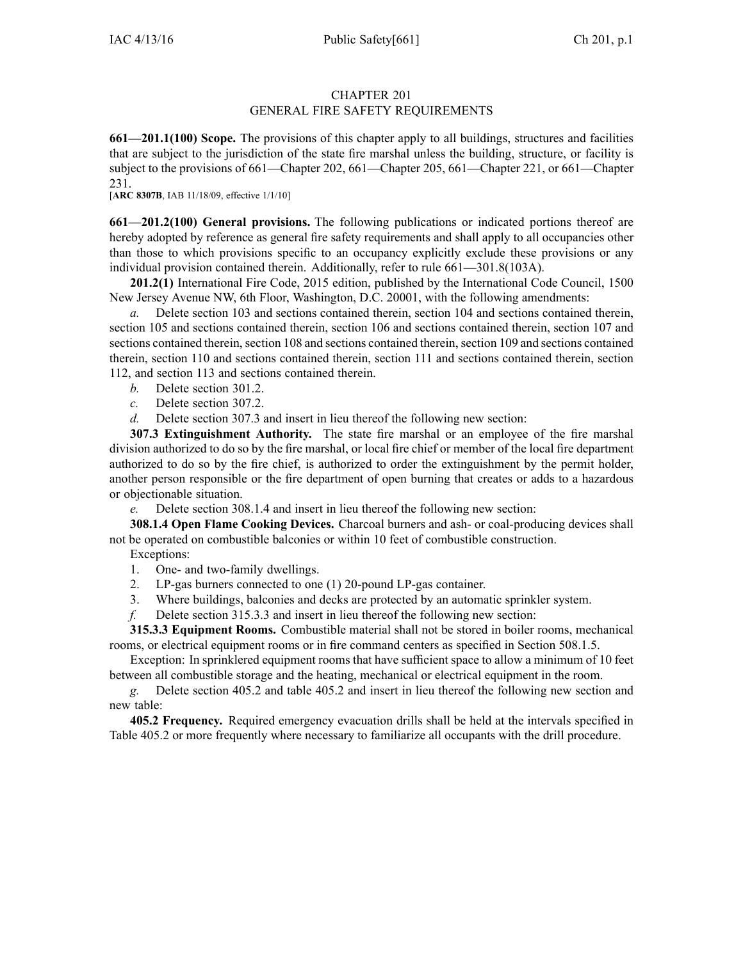#### CHAPTER 201 GENERAL FIRE SAFETY REQUIREMENTS

**661—201.1(100) Scope.** The provisions of this chapter apply to all buildings, structures and facilities that are subject to the jurisdiction of the state fire marshal unless the building, structure, or facility is subject to the provisions of 661—Chapter 202, 661—Chapter 205, 661—Chapter 221, or 661—Chapter 231.

[**ARC 8307B**, IAB 11/18/09, effective 1/1/10]

**661—201.2(100) General provisions.** The following publications or indicated portions thereof are hereby adopted by reference as general fire safety requirements and shall apply to all occupancies other than those to which provisions specific to an occupancy explicitly exclude these provisions or any individual provision contained therein. Additionally, refer to rule 661—301.8(103A).

**201.2(1)** International Fire Code, 2015 edition, published by the International Code Council, 1500 New Jersey Avenue NW, 6th Floor, Washington, D.C. 20001, with the following amendments:

*a.* Delete section 103 and sections contained therein, section 104 and sections contained therein, section 105 and sections contained therein, section 106 and sections contained therein, section 107 and sections contained therein, section 108 and sections contained therein, section 109 and sections contained therein, section 110 and sections contained therein, section 111 and sections contained therein, section 112, and section 113 and sections contained therein.

- *b.* Delete section 301.2.
- *c.* Delete section 307.2.

*d.* Delete section 307.3 and insert in lieu thereof the following new section:

**307.3 Extinguishment Authority.** The state fire marshal or an employee of the fire marshal division authorized to do so by the fire marshal, or local fire chief or member of the local fire department authorized to do so by the fire chief, is authorized to order the extinguishment by the permit holder, another person responsible or the fire department of open burning that creates or adds to <sup>a</sup> hazardous or objectionable situation.

*e.* Delete section 308.1.4 and insert in lieu thereof the following new section:

**308.1.4 Open Flame Cooking Devices.** Charcoal burners and ash- or coal-producing devices shall not be operated on combustible balconies or within 10 feet of combustible construction.

Exceptions:

- 1. One- and two-family dwellings.
- 2. LP-gas burners connected to one (1) 20-pound LP-gas container.
- 3. Where buildings, balconies and decks are protected by an automatic sprinkler system.
- *f.* Delete section 315.3.3 and insert in lieu thereof the following new section:

**315.3.3 Equipment Rooms.** Combustible material shall not be stored in boiler rooms, mechanical rooms, or electrical equipment rooms or in fire command centers as specified in Section 508.1.5.

Exception: In sprinklered equipment rooms that have sufficient space to allow <sup>a</sup> minimum of 10 feet between all combustible storage and the heating, mechanical or electrical equipment in the room.

*g.* Delete section 405.2 and table 405.2 and insert in lieu thereof the following new section and new table:

**405.2 Frequency.** Required emergency evacuation drills shall be held at the intervals specified in Table 405.2 or more frequently where necessary to familiarize all occupants with the drill procedure.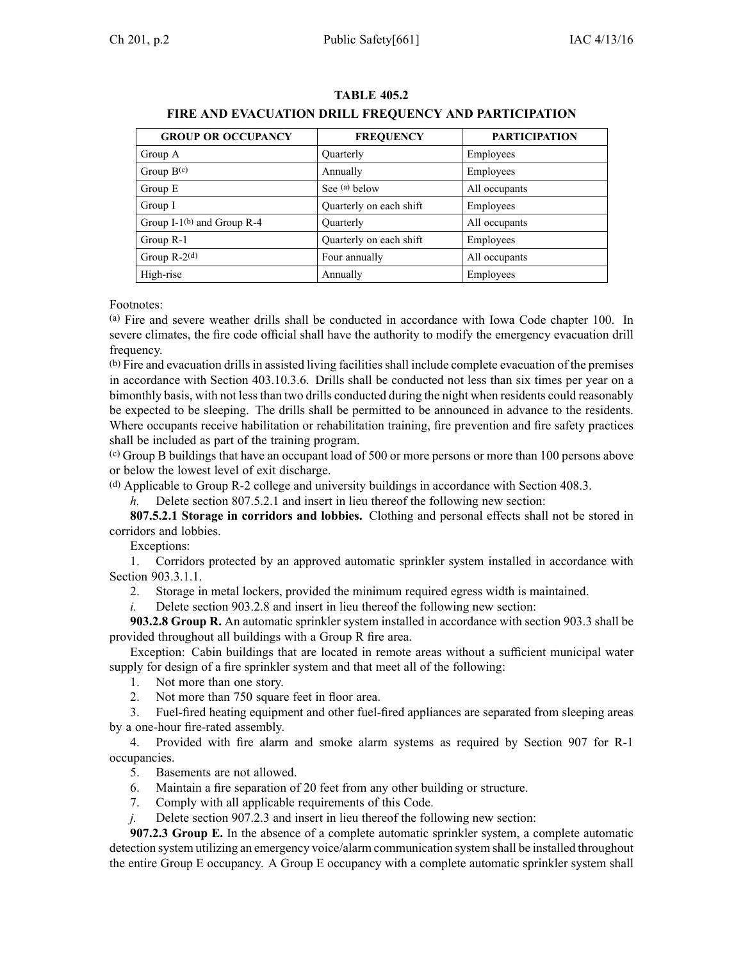| <b>GROUP OR OCCUPANCY</b>     | <b>FREQUENCY</b>        | <b>PARTICIPATION</b> |
|-------------------------------|-------------------------|----------------------|
| Group A                       | Quarterly               | Employees            |
| Group $B(c)$                  | Annually                | Employees            |
| Group E                       | See (a) below           | All occupants        |
| Group I                       | Quarterly on each shift | Employees            |
| Group I-1 $(b)$ and Group R-4 | Quarterly               | All occupants        |
| Group R-1                     | Quarterly on each shift | Employees            |
| Group $R-2(d)$                | Four annually           | All occupants        |
| High-rise                     | Annually                | Employees            |

### **TABLE 405.2 FIRE AND EVACUATION DRILL FREQUENCY AND PARTICIPATION**

Footnotes:

(a) Fire and severe weather drills shall be conducted in accordance with Iowa Code chapter [100](https://www.legis.iowa.gov/docs/ico/chapter/100.pdf). In severe climates, the fire code official shall have the authority to modify the emergency evacuation drill frequency.

(b) Fire and evacuation drillsin assisted living facilitiesshall include complete evacuation of the premises in accordance with Section 403.10.3.6. Drills shall be conducted not less than six times per year on <sup>a</sup> bimonthly basis, with not lessthan two drills conducted during the night when residents could reasonably be expected to be sleeping. The drills shall be permitted to be announced in advance to the residents. Where occupants receive habilitation or rehabilitation training, fire prevention and fire safety practices shall be included as par<sup>t</sup> of the training program.

(c) Group <sup>B</sup> buildings that have an occupan<sup>t</sup> load of 500 or more persons or more than 100 persons above or below the lowest level of exit discharge.

(d) Applicable to Group R-2 college and university buildings in accordance with Section 408.3.

*h.* Delete section 807.5.2.1 and insert in lieu thereof the following new section:

**807.5.2.1 Storage in corridors and lobbies.** Clothing and personal effects shall not be stored in corridors and lobbies.

Exceptions:

1. Corridors protected by an approved automatic sprinkler system installed in accordance with Section 903.3.1.1.

2. Storage in metal lockers, provided the minimum required egress width is maintained.

*i.* Delete section 903.2.8 and insert in lieu thereof the following new section:

**903.2.8 Group R.** An automatic sprinkler system installed in accordance with section 903.3 shall be provided throughout all buildings with <sup>a</sup> Group R fire area.

Exception: Cabin buildings that are located in remote areas without <sup>a</sup> sufficient municipal water supply for design of <sup>a</sup> fire sprinkler system and that meet all of the following:

1. Not more than one story.

2. Not more than 750 square feet in floor area.

3. Fuel-fired heating equipment and other fuel-fired appliances are separated from sleeping areas by <sup>a</sup> one-hour fire-rated assembly.

4. Provided with fire alarm and smoke alarm systems as required by Section 907 for R-1 occupancies.

5. Basements are not allowed.

- 6. Maintain <sup>a</sup> fire separation of 20 feet from any other building or structure.
- 7. Comply with all applicable requirements of this Code.

*j.* Delete section 907.2.3 and insert in lieu thereof the following new section:

**907.2.3 Group E.** In the absence of <sup>a</sup> complete automatic sprinkler system, <sup>a</sup> complete automatic detection system utilizing an emergency voice/alarm communication system shall be installed throughout the entire Group E occupancy. A Group E occupancy with <sup>a</sup> complete automatic sprinkler system shall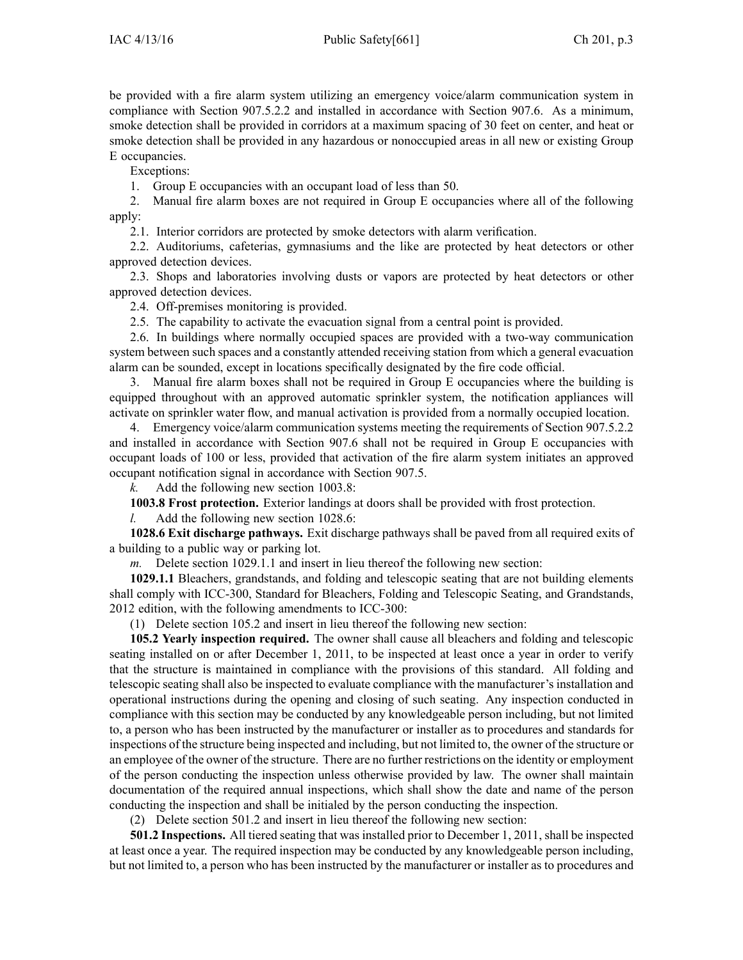be provided with <sup>a</sup> fire alarm system utilizing an emergency voice/alarm communication system in compliance with Section 907.5.2.2 and installed in accordance with Section 907.6. As <sup>a</sup> minimum, smoke detection shall be provided in corridors at <sup>a</sup> maximum spacing of 30 feet on center, and heat or smoke detection shall be provided in any hazardous or nonoccupied areas in all new or existing Group E occupancies.

Exceptions:

1. Group E occupancies with an occupan<sup>t</sup> load of less than 50.

2. Manual fire alarm boxes are not required in Group E occupancies where all of the following apply:

2.1. Interior corridors are protected by smoke detectors with alarm verification.

2.2. Auditoriums, cafeterias, gymnasiums and the like are protected by heat detectors or other approved detection devices.

2.3. Shops and laboratories involving dusts or vapors are protected by heat detectors or other approved detection devices.

2.4. Off-premises monitoring is provided.

2.5. The capability to activate the evacuation signal from <sup>a</sup> central point is provided.

2.6. In buildings where normally occupied spaces are provided with <sup>a</sup> two-way communication system between such spaces and <sup>a</sup> constantly attended receiving station from which <sup>a</sup> general evacuation alarm can be sounded, excep<sup>t</sup> in locations specifically designated by the fire code official.

3. Manual fire alarm boxes shall not be required in Group E occupancies where the building is equipped throughout with an approved automatic sprinkler system, the notification appliances will activate on sprinkler water flow, and manual activation is provided from <sup>a</sup> normally occupied location.

4. Emergency voice/alarm communication systems meeting the requirements of Section 907.5.2.2 and installed in accordance with Section 907.6 shall not be required in Group E occupancies with occupan<sup>t</sup> loads of 100 or less, provided that activation of the fire alarm system initiates an approved occupan<sup>t</sup> notification signal in accordance with Section 907.5.

*k.* Add the following new section 1003.8:

**1003.8 Frost protection.** Exterior landings at doors shall be provided with frost protection.

*l.* Add the following new section 1028.6:

**1028.6 Exit discharge pathways.** Exit discharge pathways shall be paved from all required exits of <sup>a</sup> building to <sup>a</sup> public way or parking lot.

*m.* Delete section 1029.1.1 and insert in lieu thereof the following new section:

**1029.1.1** Bleachers, grandstands, and folding and telescopic seating that are not building elements shall comply with ICC-300, Standard for Bleachers, Folding and Telescopic Seating, and Grandstands, 2012 edition, with the following amendments to ICC-300:

(1) Delete section 105.2 and insert in lieu thereof the following new section:

**105.2 Yearly inspection required.** The owner shall cause all bleachers and folding and telescopic seating installed on or after December 1, 2011, to be inspected at least once <sup>a</sup> year in order to verify that the structure is maintained in compliance with the provisions of this standard. All folding and telescopic seating shall also be inspected to evaluate compliance with the manufacturer's installation and operational instructions during the opening and closing of such seating. Any inspection conducted in compliance with this section may be conducted by any knowledgeable person including, but not limited to, <sup>a</sup> person who has been instructed by the manufacturer or installer as to procedures and standards for inspections of the structure being inspected and including, but not limited to, the owner of the structure or an employee of the owner of the structure. There are no further restrictions on the identity or employment of the person conducting the inspection unless otherwise provided by law. The owner shall maintain documentation of the required annual inspections, which shall show the date and name of the person conducting the inspection and shall be initialed by the person conducting the inspection.

(2) Delete section 501.2 and insert in lieu thereof the following new section:

**501.2 Inspections.** All tiered seating that was installed prior to December 1, 2011, shall be inspected at least once <sup>a</sup> year. The required inspection may be conducted by any knowledgeable person including, but not limited to, <sup>a</sup> person who has been instructed by the manufacturer or installer as to procedures and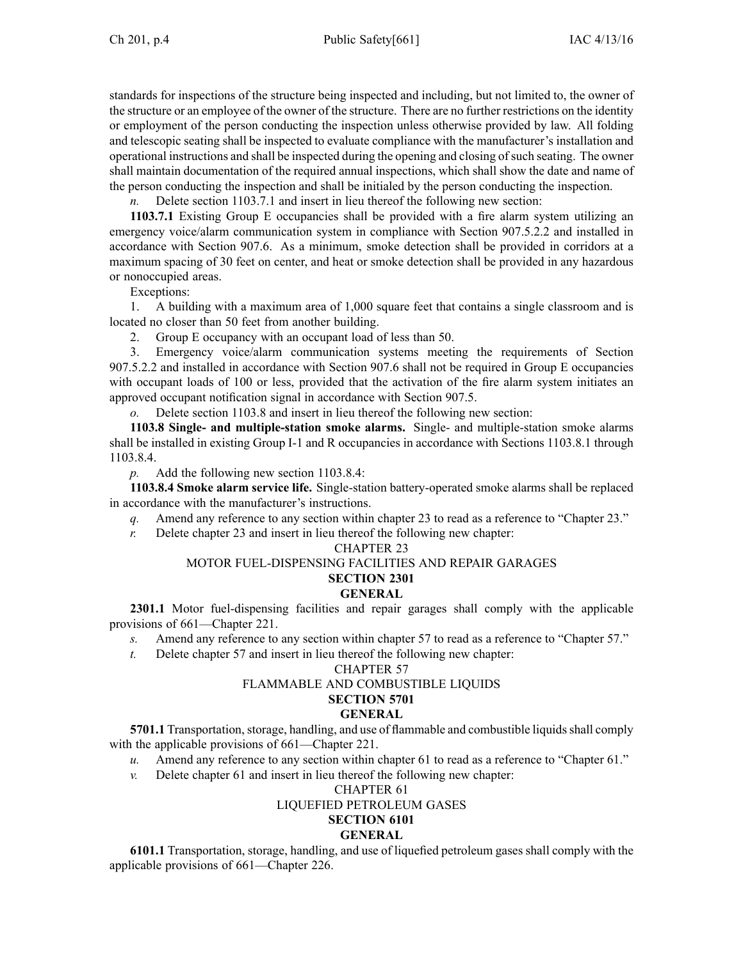standards for inspections of the structure being inspected and including, but not limited to, the owner of the structure or an employee of the owner of the structure. There are no further restrictions on the identity or employment of the person conducting the inspection unless otherwise provided by law. All folding and telescopic seating shall be inspected to evaluate compliance with the manufacturer's installation and operational instructions and shall be inspected during the opening and closing ofsuch seating. The owner shall maintain documentation of the required annual inspections, which shall show the date and name of the person conducting the inspection and shall be initialed by the person conducting the inspection.

*n.* Delete section 1103.7.1 and insert in lieu thereof the following new section:

**1103.7.1** Existing Group E occupancies shall be provided with <sup>a</sup> fire alarm system utilizing an emergency voice/alarm communication system in compliance with Section 907.5.2.2 and installed in accordance with Section 907.6. As <sup>a</sup> minimum, smoke detection shall be provided in corridors at <sup>a</sup> maximum spacing of 30 feet on center, and heat or smoke detection shall be provided in any hazardous or nonoccupied areas.

Exceptions:

1. A building with <sup>a</sup> maximum area of 1,000 square feet that contains <sup>a</sup> single classroom and is located no closer than 50 feet from another building.

2. Group E occupancy with an occupan<sup>t</sup> load of less than 50.

3. Emergency voice/alarm communication systems meeting the requirements of Section 907.5.2.2 and installed in accordance with Section 907.6 shall not be required in Group E occupancies with occupan<sup>t</sup> loads of 100 or less, provided that the activation of the fire alarm system initiates an approved occupan<sup>t</sup> notification signal in accordance with Section 907.5.

*o.* Delete section 1103.8 and insert in lieu thereof the following new section:

**1103.8 Single- and multiple-station smoke alarms.** Single- and multiple-station smoke alarms shall be installed in existing Group I-1 and R occupancies in accordance with Sections 1103.8.1 through 1103.8.4.

*p.* Add the following new section 1103.8.4:

**1103.8.4 Smoke alarm service life.** Single-station battery-operated smoke alarms shall be replaced in accordance with the manufacturer's instructions.

- *q.* Amend any reference to any section within chapter 23 to read as a reference to "Chapter 23."
- *r.* Delete chapter 23 and insert in lieu thereof the following new chapter:

#### CHAPTER 23

#### MOTOR FUEL-DISPENSING FACILITIES AND REPAIR GARAGES

## **SECTION 2301**

## **GENERAL**

**2301.1** Motor fuel-dispensing facilities and repair garages shall comply with the applicable provisions of 661—Chapter 221.

- *s.* Amend any reference to any section within chapter 57 to read as <sup>a</sup> reference to "Chapter 57."
- *t.* Delete chapter 57 and insert in lieu thereof the following new chapter:

#### CHAPTER 57

#### FLAMMABLE AND COMBUSTIBLE LIQUIDS

## **SECTION 5701**

#### **GENERAL**

**5701.1** Transportation, storage, handling, and use of flammable and combustible liquids shall comply with the applicable provisions of  $661$ —Chapter 221.

*u.* Amend any reference to any section within chapter 61 to read as a reference to "Chapter 61."

*v.* Delete chapter 61 and insert in lieu thereof the following new chapter:

#### CHAPTER 61

#### LIQUEFIED PETROLEUM GASES

# **SECTION 6101**

#### **GENERAL**

**6101.1** Transportation, storage, handling, and use of liquefied petroleum gases shall comply with the applicable provisions of 661—Chapter 226.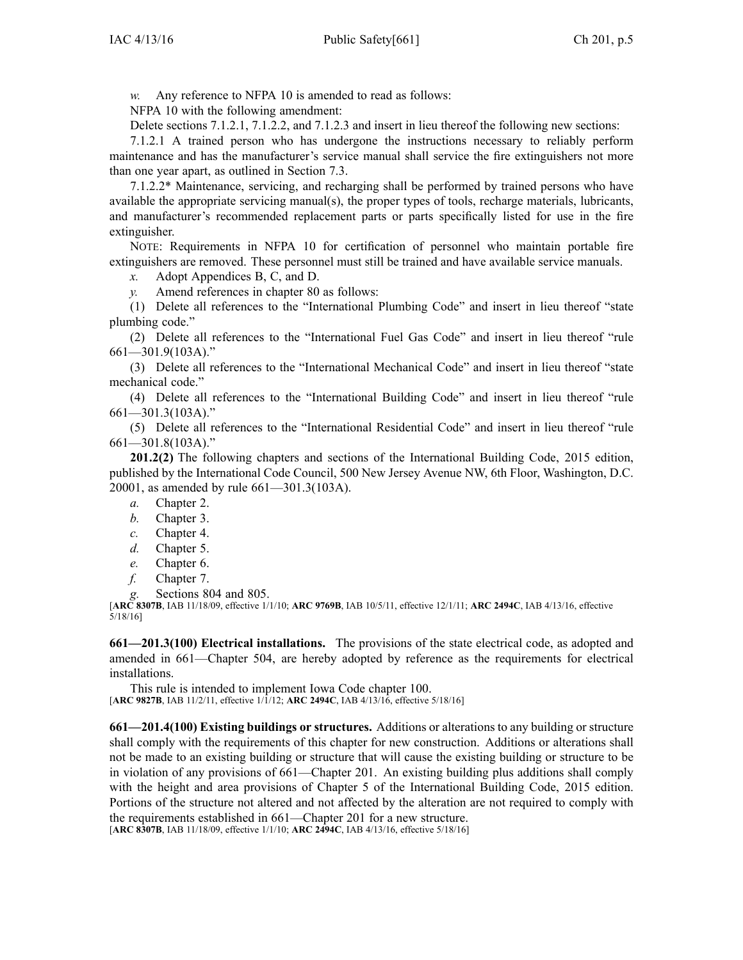*w.* Any reference to NFPA 10 is amended to read as follows:

NFPA 10 with the following amendment:

Delete sections 7.1.2.1, 7.1.2.2, and 7.1.2.3 and insert in lieu thereof the following new sections:

7.1.2.1 A trained person who has undergone the instructions necessary to reliably perform maintenance and has the manufacturer's service manual shall service the fire extinguishers not more than one year apart, as outlined in Section 7.3.

7.1.2.2\* Maintenance, servicing, and recharging shall be performed by trained persons who have available the appropriate servicing manual(s), the proper types of tools, recharge materials, lubricants, and manufacturer's recommended replacement parts or parts specifically listed for use in the fire extinguisher.

NOTE: Requirements in NFPA 10 for certification of personnel who maintain portable fire extinguishers are removed. These personnel must still be trained and have available service manuals.

*x.* Adopt Appendices B, C, and D.

*y.* Amend references in chapter 80 as follows:

(1) Delete all references to the "International Plumbing Code" and insert in lieu thereof "state plumbing code."

(2) Delete all references to the "International Fuel Gas Code" and insert in lieu thereof "rule 661—301.9(103A)."

(3) Delete all references to the "International Mechanical Code" and insert in lieu thereof "state mechanical code."

(4) Delete all references to the "International Building Code" and insert in lieu thereof "rule 661—301.3(103A)."

(5) Delete all references to the "International Residential Code" and insert in lieu thereof "rule 661—301.8(103A)."

**201.2(2)** The following chapters and sections of the International Building Code, 2015 edition, published by the International Code Council, 500 New Jersey Avenue NW, 6th Floor, Washington, D.C. 20001, as amended by rule 661—301.3(103A).

*a.* Chapter 2.

- *b.* Chapter 3.
- *c.* Chapter 4.
- *d.* Chapter 5.
- *e.* Chapter 6.
- *f.* Chapter 7.
- *g.* Sections 804 and 805.

[**ARC 8307B**, IAB 11/18/09, effective 1/1/10; **ARC 9769B**, IAB 10/5/11, effective 12/1/11; **ARC 2494C**, IAB 4/13/16, effective 5/18/16]

**661—201.3(100) Electrical installations.** The provisions of the state electrical code, as adopted and amended in 661—Chapter 504, are hereby adopted by reference as the requirements for electrical installations.

This rule is intended to implement Iowa Code chapter [100](https://www.legis.iowa.gov/docs/ico/chapter/100.pdf). [**ARC 9827B**, IAB 11/2/11, effective 1/1/12; **ARC 2494C**, IAB 4/13/16, effective 5/18/16]

**661—201.4(100) Existing buildings or structures.** Additions or alterations to any building or structure shall comply with the requirements of this chapter for new construction. Additions or alterations shall not be made to an existing building or structure that will cause the existing building or structure to be in violation of any provisions of 661—Chapter 201. An existing building plus additions shall comply with the height and area provisions of Chapter 5 of the International Building Code, 2015 edition. Portions of the structure not altered and not affected by the alteration are not required to comply with the requirements established in 661—Chapter 201 for <sup>a</sup> new structure.

[**ARC 8307B**, IAB 11/18/09, effective 1/1/10; **ARC 2494C**, IAB 4/13/16, effective 5/18/16]